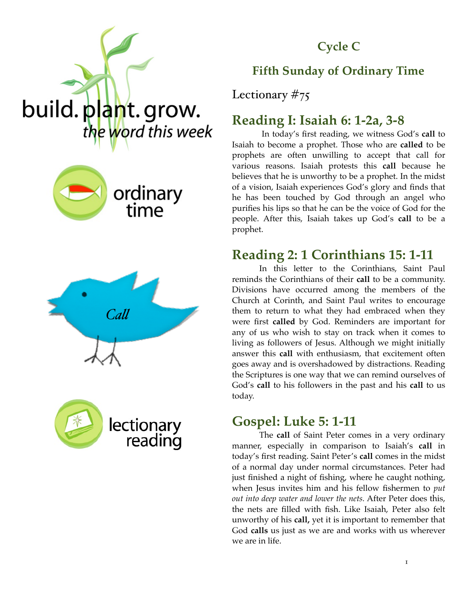

#### **Cycle C**

## **Fifth Sunday of Ordinary Time**

Lectionary #75

### **Reading I: Isaiah 6: 1-2a, 3-8**

 In today's first reading, we witness God's **call** to Isaiah to become a prophet. Those who are **called** to be prophets are often unwilling to accept that call for various reasons. Isaiah protests this **call** because he believes that he is unworthy to be a prophet. In the midst of a vision, Isaiah experiences God's glory and finds that he has been touched by God through an angel who purifies his lips so that he can be the voice of God for the people. After this, Isaiah takes up God's **call** to be a prophet.

### **Reading 2: 1 Corinthians 15: 1-11**

In this letter to the Corinthians, Saint Paul reminds the Corinthians of their **call** to be a community. Divisions have occurred among the members of the Church at Corinth, and Saint Paul writes to encourage them to return to what they had embraced when they were first **called** by God. Reminders are important for any of us who wish to stay on track when it comes to living as followers of Jesus. Although we might initially answer this **call** with enthusiasm, that excitement often goes away and is overshadowed by distractions. Reading the Scriptures is one way that we can remind ourselves of God's **call** to his followers in the past and his **call** to us today.

### **Gospel: Luke 5: 1-11**

The **call** of Saint Peter comes in a very ordinary manner, especially in comparison to Isaiah's **call** in today's first reading. Saint Peter's **call** comes in the midst of a normal day under normal circumstances. Peter had just finished a night of fishing, where he caught nothing, when Jesus invites him and his fellow fishermen to *put out into deep water and lower the nets.* After Peter does this, the nets are filled with fish. Like Isaiah, Peter also felt unworthy of his **call,** yet it is important to remember that God **calls** us just as we are and works with us wherever we are in life.



build. plant. grow.



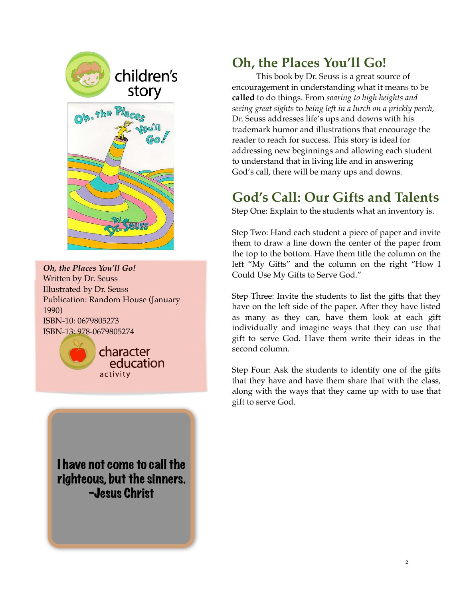

*Oh, the Places You'll Go!* Written by Dr. Seuss Illustrated by Dr. Seuss Publication: Random House (January 1990) ISBN-10: 0679805273 ISBN-13: 978-0679805274



I have not come to call the righteous, but the sinners. -Jesus Christ

## **Oh, the Places You'll Go!**

This book by Dr. Seuss is a great source of encouragement in understanding what it means to be **called** to do things. From *soaring to high heights and seeing great sights* to *being left in a lurch on a prickly perch,*  Dr. Seuss addresses life's ups and downs with his trademark humor and illustrations that encourage the reader to reach for success. This story is ideal for addressing new beginnings and allowing each student to understand that in living life and in answering God's call, there will be many ups and downs.

# **God's Call: Our Gifts and Talents**

Step One: Explain to the students what an inventory is.

Step Two: Hand each student a piece of paper and invite them to draw a line down the center of the paper from the top to the bottom. Have them title the column on the left "My Gifts" and the column on the right "How I Could Use My Gifts to Serve God."

Step Three: Invite the students to list the gifts that they have on the left side of the paper. After they have listed as many as they can, have them look at each gift individually and imagine ways that they can use that gift to serve God. Have them write their ideas in the second column.

Step Four: Ask the students to identify one of the gifts that they have and have them share that with the class, along with the ways that they came up with to use that gift to serve God.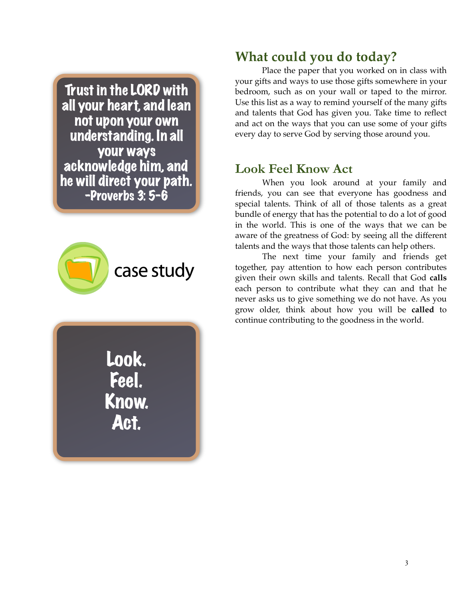Trust in the LORD with all your heart, and lean not upon your own understanding. In all your ways acknowledge him, and he will direct your path. -Proverbs 3: 5-6



Look. Feel. Know. Act.

## **What could you do today?**

Place the paper that you worked on in class with your gifts and ways to use those gifts somewhere in your bedroom, such as on your wall or taped to the mirror. Use this list as a way to remind yourself of the many gifts and talents that God has given you. Take time to reflect and act on the ways that you can use some of your gifts every day to serve God by serving those around you.

### **Look Feel Know Act**

When you look around at your family and friends, you can see that everyone has goodness and special talents. Think of all of those talents as a great bundle of energy that has the potential to do a lot of good in the world. This is one of the ways that we can be aware of the greatness of God: by seeing all the different talents and the ways that those talents can help others.

The next time your family and friends get together, pay attention to how each person contributes given their own skills and talents. Recall that God **calls**  each person to contribute what they can and that he never asks us to give something we do not have. As you grow older, think about how you will be **called** to continue contributing to the goodness in the world.